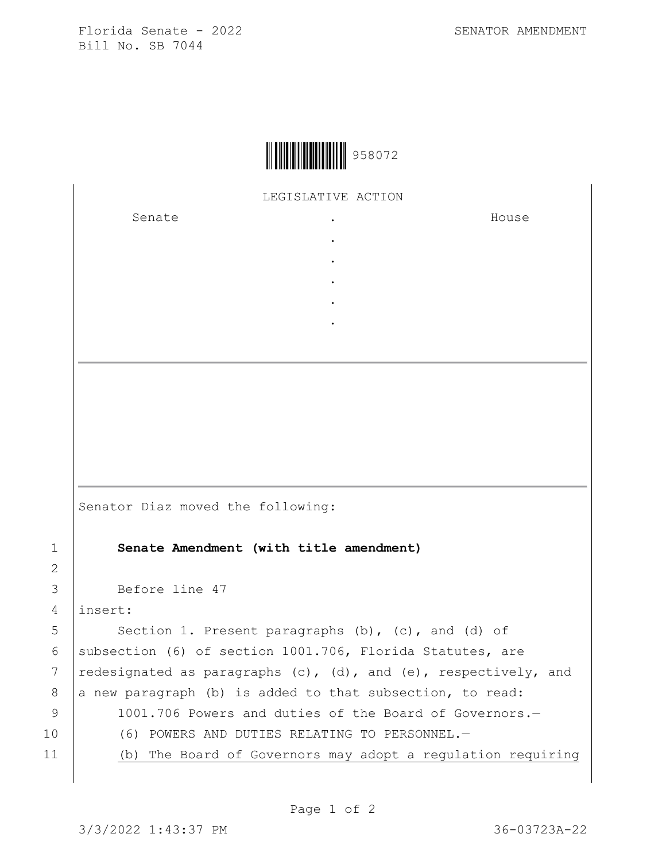Florida Senate - 2022 SENATOR AMENDMENT Bill No. SB 7044



LEGISLATIVE ACTION

. . . . .

Senate .

House

Senator Diaz moved the following: 1 **Senate Amendment (with title amendment)** 3 Before line 47 4 insert: 5 Section 1. Present paragraphs (b), (c), and (d) of 6 | subsection (6) of section 1001.706, Florida Statutes, are 7  $red$  redesignated as paragraphs (c), (d), and (e), respectively, and  $8$  a new paragraph (b) is added to that subsection, to read: 9 1001.706 Powers and duties of the Board of Governors. 10 (6) POWERS AND DUTIES RELATING TO PERSONNEL. 11 (b) The Board of Governors may adopt a regulation requiring

2